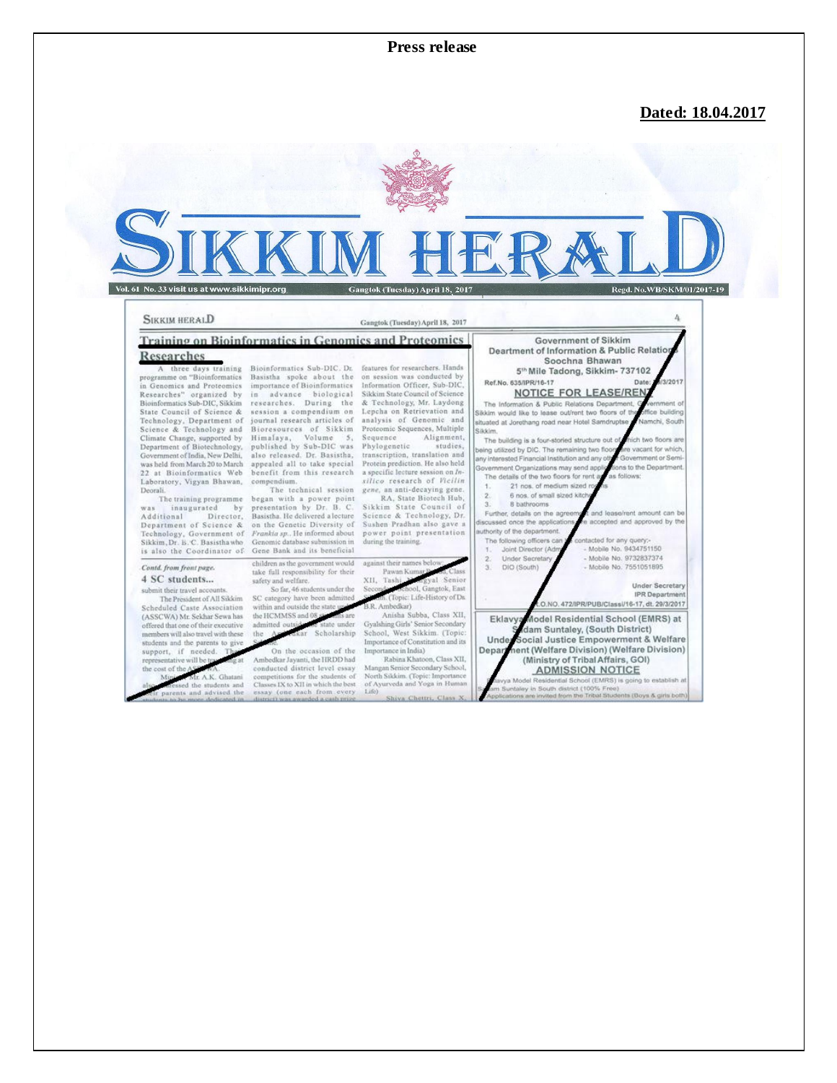**Press release** 

## Dated: 18.04.2017

# Vol. 61 No. 33 visit us at www.sikkimipr.org Gangtok (Tuesday) April 18, 2017 Regd. No.WB/SKM/01/2017-19

#### **SIKKIM HERALD**

#### Gangtok (Tuesday) April 18, 2017

Training on Bioinformatics in Genomics and Proteomics

### Researches

A three days training<br>programme on "Bioinformatics in Genomics and Proteomics<br>Researches" organized by<br>Bioinformatics Sub-DIC, Sikkim State Council of Science & Technology, Department of<br>Science & Technology and<br>Climate Change, supported by Department of Biotechnology,<br>Government of India, New Delhi, was held from March 20 to March 22 at Bioinformatics Web Laboratory, Vigyan Bhawan, Deorali.

The training programme was inaugurated by<br>Additional Director,<br>Department of Science & by Technology, Government of<br>Sikkim, Dr. B. C. Basisthawho is also the Coordinator of

Contd. from front page. 4 SC students...

submit their travel accounts The President of All Sikkim Scheduled Caste Association (ASSCWA) Mr. Sekhar Sewa has offered that one of their executive members will also travel with these students and the pare support, if needed. sentative will be t the cost of t

A.K. Ghatan d the students and<br>and advised the

Bioinformatics Sub-DIC. Dr.<br>Basistha spoke about the<br>importance of Bioinformatics in advance biological<br>researches. During the session a compendium on<br>journal research articles of Bioresources of Sikkim<br>Himalaya, Volume 5,<br>published by Sub-DIC was also released. Dr. Basistha, appealed all to take special benefit from this research compendium. The technical session

The technical session<br>began with a power point<br>presentation by Dr. B. C.<br>Basistha. He delivered a lecture<br>on the Genetic Diversity of Frankia sp.. He informed about<br>Genomic database submission in Gene Bank and its beneficial children as the government would

take full responsibility for their safety and welfare. So far, 46 students under the SC category have been admitte<br>within and outside the state und

the HCMMSS and admitted o under Scholarship

On the occasion of the Ambedkar Jayanti, the HRDD had<br>conducted district level essay competitions for the students of Classes IX to XII in which the best

features for researchers. Hands on session was conducted by Information Officer, Sub-DIC,<br>Sikkim State Council of Science<br>& Technology, Mr. Laydong Lepcha on Retrievation and<br>analysis of Genomic and<br>Proteomic Sequences, Multiple Alignment, Sequence Phylogenetic studies. transcription, translation and<br>Protein prediction. He also held a specific lecture session on Insilico research of Vicilin gene, an anti-decaying gene.

RA, State Biotech Hub,<br>Sikkim State Council of Science & Technology, Dr.<br>Sushen Pradhan also gave a power point presentation during the training.

Pawan K XII. Tash ok, Eas Topic: Life-History of Dr.

R. Ambedkar)<br>Anisha Subba, Class XII, Gyalshing Girls' Senior Secondary<br>School, West Sikkim. (Topic Importance of Constitution and its<br>Importance in India) Rabina Khatoon, Class XII,

Mangan Senior Secondary School,<br>North Sikkim. (Topic: Importance<br>of Ayurveda and Yoga in Human Life) iva Chettri, Cl

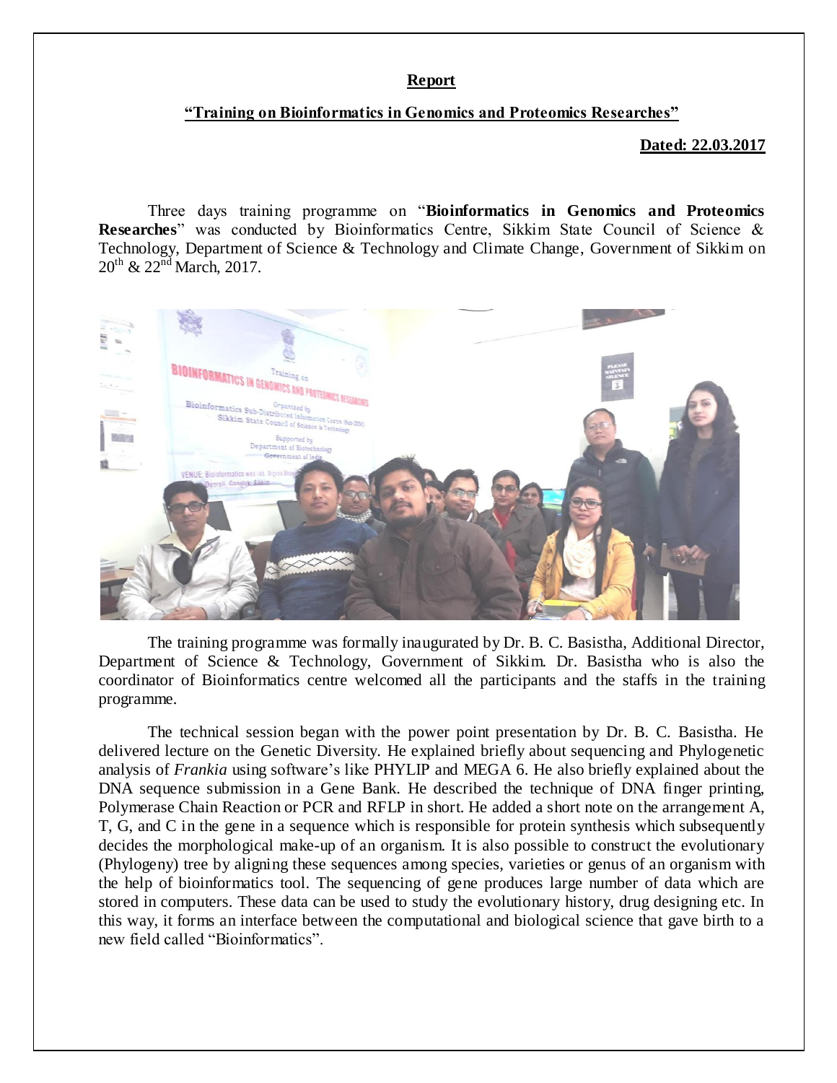## **Report**

## **"Training on Bioinformatics in Genomics and Proteomics Researches"**

**Dated: 22.03.2017**

Three days training programme on "**Bioinformatics in Genomics and Proteomics Researches**" was conducted by Bioinformatics Centre, Sikkim State Council of Science & Technology, Department of Science & Technology and Climate Change, Government of Sikkim on  $20^{th}$  &  $22^{nd}$  March, 2017.



 The training programme was formally inaugurated by Dr. B. C. Basistha, Additional Director, Department of Science & Technology, Government of Sikkim. Dr. Basistha who is also the coordinator of Bioinformatics centre welcomed all the participants and the staffs in the training programme.

The technical session began with the power point presentation by Dr. B. C. Basistha. He delivered lecture on the Genetic Diversity. He explained briefly about sequencing and Phylogenetic analysis of *Frankia* using software's like PHYLIP and MEGA 6. He also briefly explained about the DNA sequence submission in a Gene Bank. He described the technique of DNA finger printing, Polymerase Chain Reaction or PCR and RFLP in short. He added a short note on the arrangement A, T, G, and C in the gene in a sequence which is responsible for protein synthesis which subsequently decides the morphological make-up of an organism. It is also possible to construct the evolutionary (Phylogeny) tree by aligning these sequences among species, varieties or genus of an organism with the help of bioinformatics tool. The sequencing of gene produces large number of data which are stored in computers. These data can be used to study the evolutionary history, drug designing etc. In this way, it forms an interface between the computational and biological science that gave birth to a new field called "Bioinformatics".